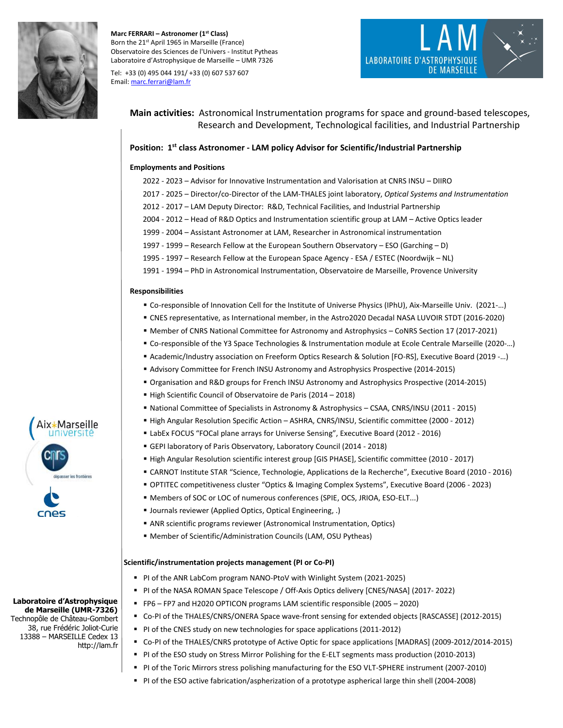

**Marc FERRARI – Astronomer (1st Class)** Born the 21<sup>st</sup> April 1965 in Marseille (France) Observatoire des Sciences de l'Univers - Institut Pytheas Laboratoire d'Astrophysique de Marseille – UMR 7326

Tel: +33 (0) 495 044 191/ +33 (0) 607 537 607 Email[: marc.ferrari@lam.fr](mailto:marc.ferrari@lam.fr)



**Main activities:** Astronomical Instrumentation programs for space and ground-based telescopes, Research and Development, Technological facilities, and Industrial Partnership

# **Position: 1 st class Astronomer - LAM policy Advisor for Scientific/Industrial Partnership**

#### **Employments and Positions**

- 2022 2023 Advisor for Innovative Instrumentation and Valorisation at CNRS INSU DIIRO
- 2017 2025 Director/co-Director of the LAM-THALES joint laboratory, *Optical Systems and Instrumentation*
- 2012 2017 LAM Deputy Director: R&D, Technical Facilities, and Industrial Partnership
- 2004 2012 Head of R&D Optics and Instrumentation scientific group at LAM Active Optics leader
- 1999 2004 Assistant Astronomer at LAM, Researcher in Astronomical instrumentation
- 1997 1999 Research Fellow at the European Southern Observatory ESO (Garching D)
- 1995 1997 Research Fellow at the European Space Agency ESA / ESTEC (Noordwijk NL)
- 1991 1994 PhD in Astronomical Instrumentation, Observatoire de Marseille, Provence University

#### **Responsibilities**

- Co-responsible of Innovation Cell for the Institute of Universe Physics (IPhU), Aix-Marseille Univ. (2021-…)
- CNES representative, as International member, in the Astro2020 Decadal NASA LUVOIR STDT (2016-2020)
- Member of CNRS National Committee for Astronomy and Astrophysics CoNRS Section 17 (2017-2021)
- Co-responsible of the Y3 Space Technologies & Instrumentation module at Ecole Centrale Marseille (2020-…)
- Academic/Industry association on Freeform Optics Research & Solution [FO-RS], Executive Board (2019 -…)
- Advisory Committee for French INSU Astronomy and Astrophysics Prospective (2014-2015)
- Organisation and R&D groups for French INSU Astronomy and Astrophysics Prospective (2014-2015)
- High Scientific Council of Observatoire de Paris (2014 2018)
- National Committee of Specialists in Astronomy & Astrophysics CSAA, CNRS/INSU (2011 2015)
- High Angular Resolution Specific Action ASHRA, CNRS/INSU, Scientific committee (2000 2012)
- **E** LabEx FOCUS "FOCal plane arrays for Universe Sensing", Executive Board (2012 2016)
- GEPI laboratory of Paris Observatory, Laboratory Council (2014 2018)
- High Angular Resolution scientific interest group [GIS PHASE], Scientific committee (2010 2017)
- CARNOT Institute STAR "Science, Technologie, Applications de la Recherche", Executive Board (2010 2016)
- OPTITEC competitiveness cluster "Optics & Imaging Complex Systems", Executive Board (2006 2023)
- Members of SOC or LOC of numerous conferences (SPIE, OCS, JRIOA, ESO-ELT...)
- Journals reviewer (Applied Optics, Optical Engineering, .)
- ANR scientific programs reviewer (Astronomical Instrumentation, Optics)
- Member of Scientific/Administration Councils (LAM, OSU Pytheas)

#### **Scientific/instrumentation projects management (PI or Co-PI)**

- PI of the ANR LabCom program NANO-PtoV with Winlight System (2021-2025)
- PI of the NASA ROMAN Space Telescope / Off-Axis Optics delivery [CNES/NASA] (2017- 2022)
- FP6 FP7 and H2020 OPTICON programs LAM scientific responsible (2005 2020)
- Co-PI of the THALES/CNRS/ONERA Space wave-front sensing for extended objects [RASCASSE] (2012-2015)
- PI of the CNES study on new technologies for space applications (2011-2012)
- Co-PI of the THALES/CNRS prototype of Active Optic for space applications [MADRAS] (2009-2012/2014-2015)
- PI of the ESO study on Stress Mirror Polishing for the E-ELT segments mass production (2010-2013)
- PI of the Toric Mirrors stress polishing manufacturing for the ESO VLT-SPHERE instrument (2007-2010)
- PI of the ESO active fabrication/aspherization of a prototype aspherical large thin shell (2004-2008)



#### **Laboratoire d'Astrophysique de Marseille (UMR-7326)**  Technopôle de Château-Gombert 38, rue Frédéric Joliot-Curie 13388 – MARSEILLE Cedex 13

http://lam.fr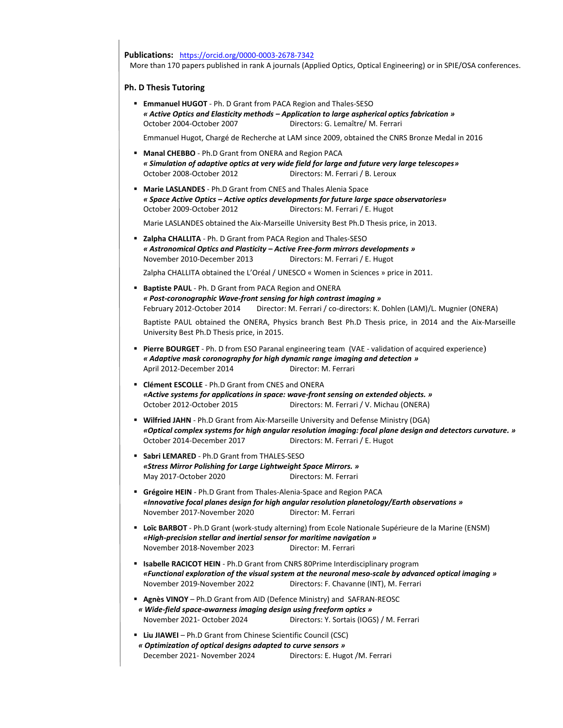**Publications:** <https://orcid.org/0000-0003-2678-7342>

More than 170 papers published in rank A journals (Applied Optics, Optical Engineering) or in SPIE/OSA conferences.

### **Ph. D Thesis Tutoring**

▪ **Emmanuel HUGOT** - Ph. D Grant from PACA Region and Thales-SESO *« Active Optics and Elasticity methods – Application to large aspherical optics fabrication »*  October 2004-October 2007 Directors: G. Lemaître/ M. Ferrari

Emmanuel Hugot, Chargé de Recherche at LAM since 2009, obtained the CNRS Bronze Medal in 2016

- **Manal CHEBBO** Ph.D Grant from ONERA and Region PACA *« Simulation of adaptive optics at very wide field for large and future very large telescopes»* October 2008-October 2012 Directors: M. Ferrari / B. Leroux
- **Marie LASLANDES**  Ph.D Grant from CNES and Thales Alenia Space *« Space Active Optics – Active optics developments for future large space observatories»* October 2009-October 2012 Directors: M. Ferrari / E. Hugot

Marie LASLANDES obtained the Aix-Marseille University Best Ph.D Thesis price, in 2013.

- **Zalpha CHALLITA** Ph. D Grant from PACA Region and Thales-SESO *« Astronomical Optics and Plasticity – Active Free-form mirrors developments »* November 2010-December 2013 Directors: M. Ferrari / E. Hugot Zalpha CHALLITA obtained the L'Oréal / UNESCO « Women in Sciences » price in 2011.
- **Baptiste PAUL** Ph. D Grant from PACA Region and ONERA *« Post-coronographic Wave-front sensing for high contrast imaging »* February 2012-October 2014 Director: M. Ferrari / co-directors: K. Dohlen (LAM)/L. Mugnier (ONERA) Baptiste PAUL obtained the ONERA, Physics branch Best Ph.D Thesis price, in 2014 and the Aix-Marseille University Best Ph.D Thesis price, in 2015.
- **Pierre BOURGET** Ph. D from ESO Paranal engineering team (VAE validation of acquired experience) *« Adaptive mask coronography for high dynamic range imaging and detection »* April 2012-December 2014 Director: M. Ferrari
- **Clément ESCOLLE** Ph.D Grant from CNES and ONERA *«Active systems for applications in space: wave-front sensing on extended objects. »* October 2012-October 2015 Directors: M. Ferrari / V. Michau (ONERA)
- **Wilfried JAHN** Ph.D Grant from Aix-Marseille University and Defense Ministry (DGA) *«Optical complex systems for high angular resolution imaging: focal plane design and detectors curvature. »* October 2014-December 2017 Directors: M. Ferrari / E. Hugot
- **Sabri LEMARED** Ph.D Grant from THALES-SESO *«Stress Mirror Polishing for Large Lightweight Space Mirrors. »* May 2017-October 2020 Directors: M. Ferrari
- **Grégoire HEIN**  Ph.D Grant from Thales-Alenia-Space and Region PACA *«Innovative focal planes design for high angular resolution planetology/Earth observations »* November 2017-November 2020 Director: M. Ferrari
- **Loïc BARBOT** Ph.D Grant (work-study alterning) from Ecole Nationale Supérieure de la Marine (ENSM) *«High-precision stellar and inertial sensor for maritime navigation »* November 2018-November 2023 Director: M. Ferrari
- **Isabelle RACICOT HEIN**  Ph.D Grant from CNRS 80Prime Interdisciplinary program *«Functional exploration of the visual system at the neuronal meso-scale by advanced optical imaging »* November 2019-November 2022 Directors: F. Chavanne (INT), M. Ferrari
- **Agnès VINOY**  Ph.D Grant from AID (Defence Ministry) and SAFRAN-REOSC *« Wide-field space-awarness imaging design using freeform optics »* November 2021- October 2024 Directors: Y. Sortais (IOGS) / M. Ferrari
- **Liu JIAWEI** Ph.D Grant from Chinese Scientific Council (CSC) *« Optimization of optical designs adapted to curve sensors »* December 2021- November 2024 Directors: E. Hugot /M. Ferrari